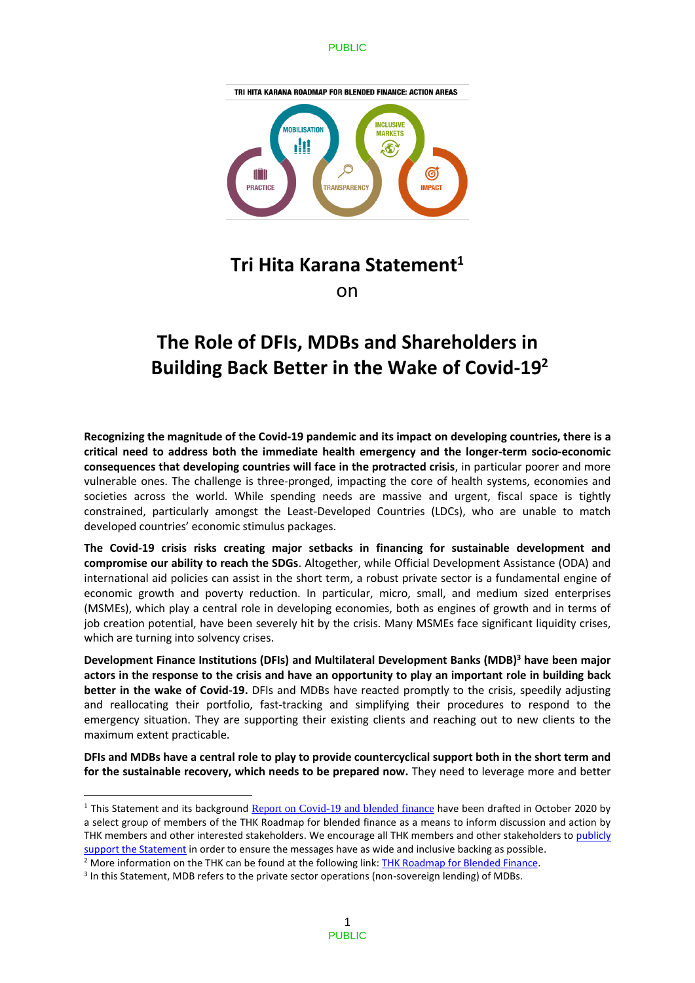



**Tri Hita Karana Statement<sup>1</sup>**

on

## **The Role of DFIs, MDBs and Shareholders in Building Back Better in the Wake of Covid-19<sup>2</sup>**

**Recognizing the magnitude of the Covid-19 pandemic and its impact on developing countries, there is a critical need to address both the immediate health emergency and the longer-term socio-economic consequences that developing countries will face in the protracted crisis**, in particular poorer and more vulnerable ones. The challenge is three-pronged, impacting the core of health systems, economies and societies across the world. While spending needs are massive and urgent, fiscal space is tightly constrained, particularly amongst the Least-Developed Countries (LDCs), who are unable to match developed countries' economic stimulus packages.

**The Covid-19 crisis risks creating major setbacks in financing for sustainable development and compromise our ability to reach the SDGs**. Altogether, while Official Development Assistance (ODA) and international aid policies can assist in the short term, a robust private sector is a fundamental engine of economic growth and poverty reduction. In particular, micro, small, and medium sized enterprises (MSMEs), which play a central role in developing economies, both as engines of growth and in terms of job creation potential, have been severely hit by the crisis. Many MSMEs face significant liquidity crises, which are turning into solvency crises.

**Development Finance Institutions (DFIs) and Multilateral Development Banks (MDB) <sup>3</sup> have been major actors in the response to the crisis and have an opportunity to play an important role in building back better in the wake of Covid-19.** DFIs and MDBs have reacted promptly to the crisis, speedily adjusting and reallocating their portfolio, fast-tracking and simplifying their procedures to respond to the emergency situation. They are supporting their existing clients and reaching out to new clients to the maximum extent practicable.

**DFIs and MDBs have a central role to play to provide countercyclical support both in the short term and for the sustainable recovery, which needs to be prepared now.** They need to leverage more and better

<u>.</u>

<sup>&</sup>lt;sup>1</sup> This Statement and its background **[Report on Covid-19 and blended finance](https://assets.ctfassets.net/4cgqlwde6qy0/2UIDzHLqOh58RKeuHqejft/5c9d7119e8ee4b0ff1eb4ce770f20120/THK_Report_on_Covid-19_and_Blended_Finance_21-10-2020-1-.pdf)** have been drafted in October 2020 by a select group of members of the THK Roadmap for blended finance as a means to inform discussion and action by THK members and other interested stakeholders. We encourage all THK members and other stakeholders to publicly [support the Statement](https://docs.google.com/forms/d/e/1FAIpQLSeTXxqlgB3vdYOHyPcrEBoz95RkiwML0o45S-T3ktGUcUtFKw/viewform) in order to ensure the messages have as wide and inclusive backing as possible.

<sup>&</sup>lt;sup>2</sup> More information on the THK can be found at the following link: [THK Roadmap for Blended Finance.](https://www.oecd.org/dac/financing-sustainable-development/development-finance-topics/tri-hita-karana-roadmap-for-blended-finance.htm)

<sup>&</sup>lt;sup>3</sup> In this Statement, MDB refers to the private sector operations (non-sovereign lending) of MDBs.